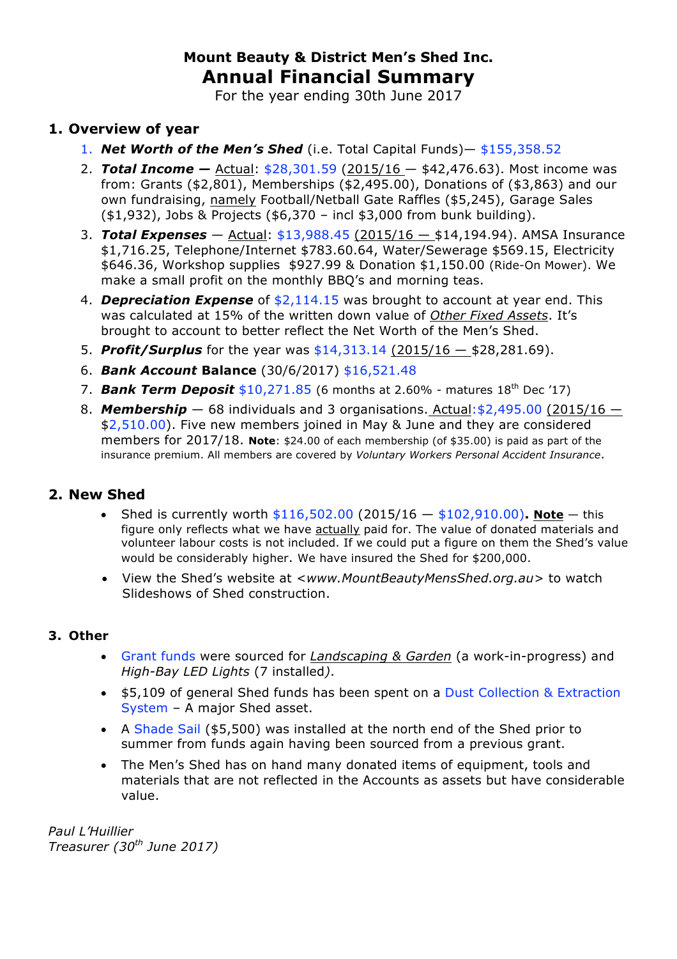# **Mount Beauty & District Men's Shed Inc. Annual Financial Summary**

For the year ending 30th June 2017

### **1. Overview of year**

- 1. *Net Worth of the Men's Shed* (i.e. Total Capital Funds)— \$155,358.52
- 2. *Total Income —* Actual: \$28,301.59 (2015/16 \$42,476.63). Most income was from: Grants (\$2,801), Memberships (\$2,495.00), Donations of (\$3,863) and our own fundraising, namely Football/Netball Gate Raffles (\$5,245), Garage Sales (\$1,932), Jobs & Projects (\$6,370 – incl \$3,000 from bunk building).
- 3. *Total Expenses* Actual: \$13,988.45 (2015/16 \$14,194.94). AMSA Insurance \$1,716.25, Telephone/Internet \$783.60.64, Water/Sewerage \$569.15, Electricity \$646.36, Workshop supplies \$927.99 & Donation \$1,150.00 (Ride-On Mower). We make a small profit on the monthly BBQ's and morning teas.
- 4. *Depreciation Expense* of \$2,114.15 was brought to account at year end. This was calculated at 15% of the written down value of *Other Fixed Assets*. It's brought to account to better reflect the Net Worth of the Men's Shed.
- 5. *Profit/Surplus* for the year was \$14,313.14 (2015/16 \$28,281.69).
- 6. *Bank Account* **Balance** (30/6/2017) \$16,521.48
- 7. **Bank Term Deposit** \$10,271.85 (6 months at 2.60% matures 18<sup>th</sup> Dec '17)
- 8. **Membership** 68 individuals and 3 organisations. Actual: \$2,495.00 (2015/16 \$2,510.00). Five new members joined in May & June and they are considered members for 2017/18. **Note**: \$24.00 of each membership (of \$35.00) is paid as part of the insurance premium. All members are covered by *Voluntary Workers Personal Accident Insurance*.

### **2. New Shed**

- Shed is currently worth  $$116,502.00$  (2015/16  $-$  \$102,910.00). Note  $-$  this figure only reflects what we have actually paid for. The value of donated materials and volunteer labour costs is not included. If we could put a figure on them the Shed's value would be considerably higher. We have insured the Shed for \$200,000.
- View the Shed's website at *<www.MountBeautyMensShed.org.au>* to watch Slideshows of Shed construction.

### **3. Other**

- Grant funds were sourced for *Landscaping & Garden* (a work-in-progress) and *High-Bay LED Lights* (7 installed*)*.
- \$5,109 of general Shed funds has been spent on a Dust Collection & Extraction System – A major Shed asset.
- A Shade Sail (\$5,500) was installed at the north end of the Shed prior to summer from funds again having been sourced from a previous grant.
- The Men's Shed has on hand many donated items of equipment, tools and materials that are not reflected in the Accounts as assets but have considerable value.

*Paul L'Huillier Treasurer (30th June 2017)*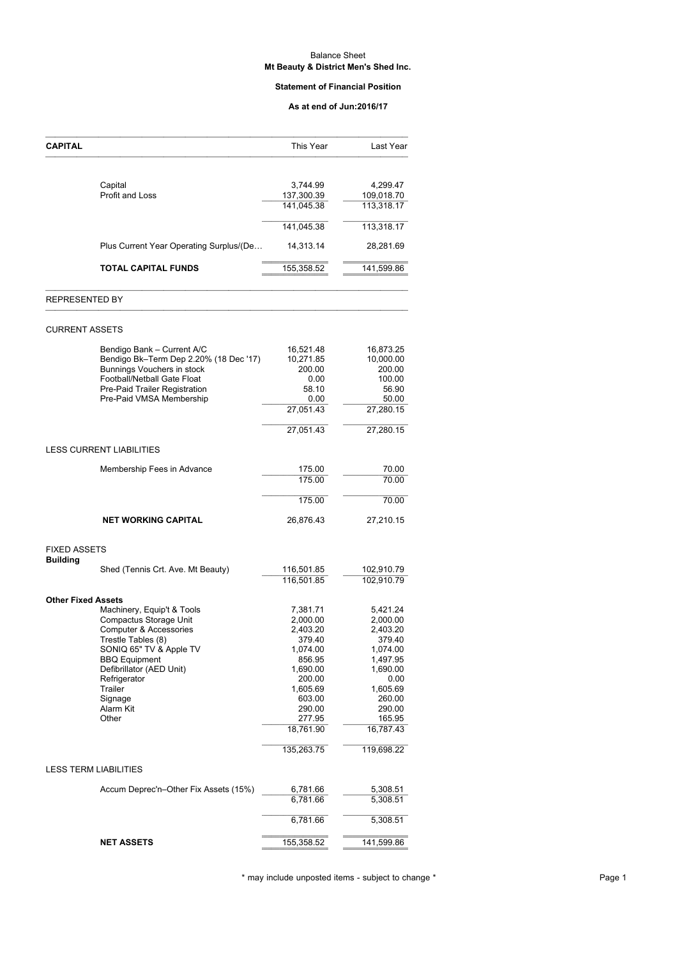#### Balance Sheet **Mt Beauty & District Men's Shed Inc.**

#### **Statement of Financial Position**

#### **As at end of Jun:2016/17**

|                                                           | As at end of Jun:2016/17 |                          |
|-----------------------------------------------------------|--------------------------|--------------------------|
| <b>CAPITAL</b>                                            | This Year                | Last Year                |
|                                                           |                          |                          |
| Capital<br>Profit and Loss                                | 3,744.99<br>137,300.39   | 4,299.47<br>109,018.70   |
|                                                           | 141,045.38               | 113,318.17               |
|                                                           | 141,045.38               | 113,318.17               |
| Plus Current Year Operating Surplus/(De                   | 14,313.14                | 28,281.69                |
| <b>TOTAL CAPITAL FUNDS</b>                                | 155,358.52               | 141,599.86               |
| <b>REPRESENTED BY</b>                                     |                          |                          |
| <b>CURRENT ASSETS</b>                                     |                          |                          |
| Bendigo Bank - Current A/C                                | 16,521.48                | 16,873.25                |
| Bendigo Bk-Term Dep 2.20% (18 Dec '17)                    | 10,271.85                | 10,000.00                |
| Bunnings Vouchers in stock                                | 200.00                   | 200.00                   |
| Football/Netball Gate Float                               | 0.00                     | 100.00                   |
| Pre-Paid Trailer Registration<br>Pre-Paid VMSA Membership | 58.10<br>0.00            | 56.90<br>50.00           |
|                                                           | 27,051.43                | 27,280.15                |
|                                                           | 27,051.43                | 27,280.15                |
| LESS CURRENT LIABILITIES                                  |                          |                          |
| Membership Fees in Advance                                | 175.00                   | 70.00                    |
|                                                           | 175.00                   | 70.00                    |
|                                                           | 175.00                   | 70.00                    |
| <b>NET WORKING CAPITAL</b>                                | 26,876.43                | 27,210.15                |
| <b>FIXED ASSETS</b>                                       |                          |                          |
| <b>Building</b>                                           |                          |                          |
| Shed (Tennis Crt. Ave. Mt Beauty)                         | 116,501.85<br>116,501.85 | 102,910.79<br>102,910.79 |
| <b>Other Fixed Assets</b>                                 |                          |                          |
| Machinery, Equip't & Tools                                | 7,381.71                 | 5,421.24                 |
| Compactus Storage Unit                                    | 2,000.00                 | 2,000.00                 |
| Computer & Accessories                                    | 2,403.20                 | 2,403.20                 |
| Trestle Tables (8)                                        | 379.40                   | 379.40                   |
| SONIQ 65" TV & Apple TV                                   | 1,074.00<br>856.95       | 1,074.00<br>1,497.95     |
| <b>BBQ</b> Equipment<br>Defibrillator (AED Unit)          | 1,690.00                 | 1,690.00                 |
| Refrigerator                                              | 200.00                   | 0.00                     |
| Trailer                                                   | 1,605.69                 | 1,605.69                 |
| Signage                                                   | 603.00                   | 260.00                   |
| Alarm Kit                                                 | 290.00                   | 290.00                   |
| Other                                                     | 277.95<br>18,761.90      | 165.95<br>16,787.43      |
|                                                           | 135,263.75               | 119,698.22               |
| <b>LESS TERM LIABILITIES</b>                              |                          |                          |
|                                                           |                          |                          |
| Accum Deprec'n-Other Fix Assets (15%)                     | 6,781.66<br>6,781.66     | 5,308.51<br>5,308.51     |
|                                                           | 6,781.66                 | 5,308.51                 |
|                                                           |                          |                          |
| <b>NET ASSETS</b>                                         | 155,358.52               | 141,599.86               |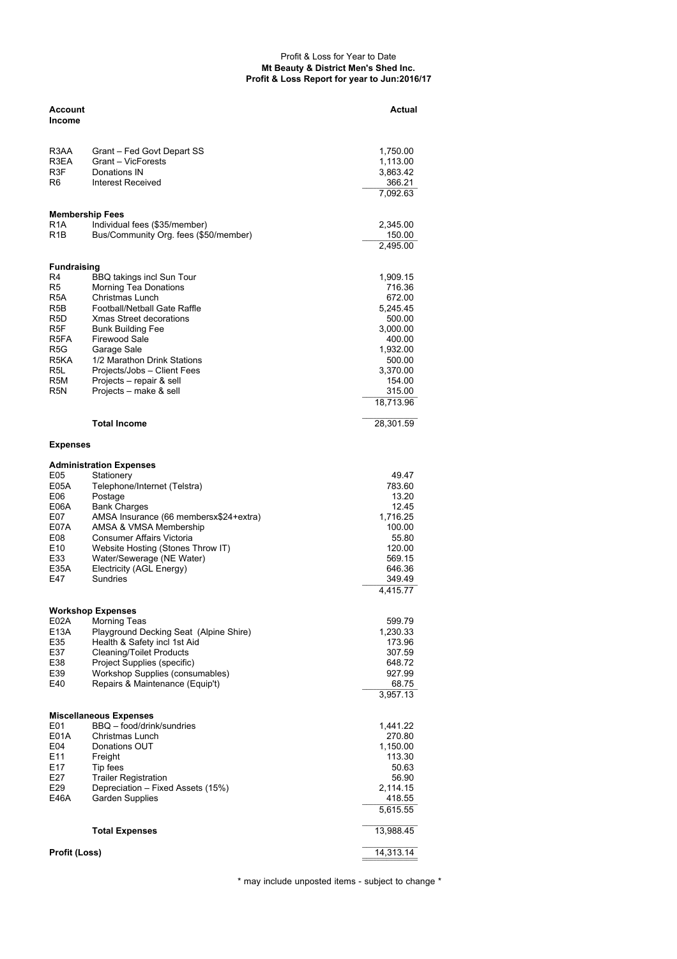#### Profit & Loss for Year to Date **Mt Beauty & District Men's Shed Inc. Profit & Loss Report for year to Jun:2016/17**

| Account            |                                                            | Actual              |
|--------------------|------------------------------------------------------------|---------------------|
| Income             |                                                            |                     |
| R3AA               | Grant – Fed Govt Depart SS                                 | 1,750.00            |
| R3EA               | Grant - VicForests                                         | 1,113.00            |
| R3F                | Donations IN                                               | 3,863.42            |
| R6                 | Interest Received                                          | 366.21              |
|                    |                                                            | 7,092.63            |
|                    | Membership Fees                                            |                     |
| R1A<br>R1B         | Individual fees (\$35/member)                              | 2,345.00<br>150.00  |
|                    | Bus/Community Org. fees (\$50/member)                      | 2,495.00            |
|                    |                                                            |                     |
| <b>Fundraising</b> |                                                            |                     |
| R4                 | BBQ takings incl Sun Tour                                  | 1,909.15            |
| R5<br>R5A          | <b>Morning Tea Donations</b><br>Christmas Lunch            | 716.36<br>672.00    |
| R5B                | Football/Netball Gate Raffle                               | 5,245.45            |
| R5D                | Xmas Street decorations                                    | 500.00              |
| R <sub>5F</sub>    | <b>Bunk Building Fee</b>                                   | 3,000.00            |
| R5FA               | Firewood Sale                                              | 400.00              |
| R5G                | Garage Sale                                                | 1,932.00            |
| R5KA               | 1/2 Marathon Drink Stations                                | 500.00              |
| R5L                | Projects/Jobs - Client Fees                                | 3,370.00            |
| R5M                | Projects – repair & sell                                   | 154.00              |
| R5N                | Projects – make & sell                                     | 315.00<br>18,713.96 |
|                    |                                                            |                     |
|                    | <b>Total Income</b>                                        | 28,301.59           |
| <b>Expenses</b>    |                                                            |                     |
|                    | <b>Administration Expenses</b>                             |                     |
| E05<br>E05A        | Stationery<br>Telephone/Internet (Telstra)                 | 49.47<br>783.60     |
| E06                | Postage                                                    | 13.20               |
| E06A               | <b>Bank Charges</b>                                        | 12.45               |
| E07                | AMSA Insurance (66 membersx\$24+extra)                     | 1,716.25            |
| E07A               | AMSA & VMSA Membership                                     | 100.00              |
| E08                | Consumer Affairs Victoria                                  | 55.80               |
| E10                | Website Hosting (Stones Throw IT)                          | 120.00              |
| E33                | Water/Sewerage (NE Water)                                  | 569.15              |
| E35A               | Electricity (AGL Energy)                                   | 646.36              |
| E47                | Sundries                                                   | 349.49<br>4,415.77  |
|                    | Workshop Expenses                                          |                     |
| E02A               | <b>Morning Teas</b>                                        | 599.79              |
| E13A               | Playground Decking Seat (Alpine Shire)                     | 1,230.33            |
| E35                | Health & Safety incl 1st Aid                               | 173.96              |
| E37                | <b>Cleaning/Toilet Products</b>                            | 307.59              |
| E38                | Project Supplies (specific)                                | 648.72              |
| E39                | Workshop Supplies (consumables)                            | 927.99              |
| E40                | Repairs & Maintenance (Equip't)                            | 68.75<br>3,957.13   |
|                    |                                                            |                     |
| E01                | <b>Miscellaneous Expenses</b><br>BBQ - food/drink/sundries | 1,441.22            |
| <b>E01A</b>        | Christmas Lunch                                            | 270.80              |
| E04                | Donations OUT                                              | 1,150.00            |
| E11                | Freight                                                    | 113.30              |
| E17                | Tip fees                                                   | 50.63               |
| E27                | <b>Trailer Registration</b>                                | 56.90               |
| E29                | Depreciation - Fixed Assets (15%)                          | 2,114.15            |
| E46A               | Garden Supplies                                            | 418.55              |
|                    |                                                            | 5,615.55            |
|                    | <b>Total Expenses</b>                                      | 13,988.45           |
| Profit (Loss)      |                                                            | 14,313.14           |
|                    |                                                            |                     |

\* may include unposted items - subject to change \*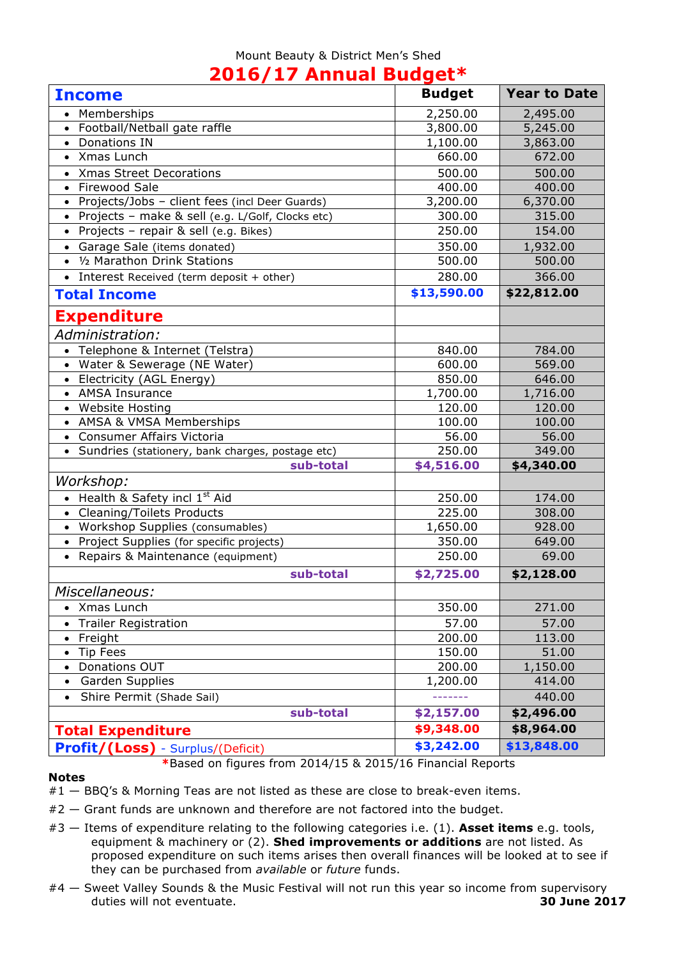### Mount Beauty & District Men's Shed **2016/17 Annual Budget\***

|                                                    | $\sim$        |                     |
|----------------------------------------------------|---------------|---------------------|
| <b>Income</b>                                      | <b>Budget</b> | <b>Year to Date</b> |
| Memberships                                        | 2,250.00      | 2,495.00            |
| Football/Netball gate raffle                       | 3,800.00      | 5,245.00            |
| Donations IN                                       | 1,100.00      | 3,863.00            |
| Xmas Lunch                                         | 660.00        | 672.00              |
| <b>Xmas Street Decorations</b><br>$\bullet$        | 500.00        | 500.00              |
| <b>Firewood Sale</b><br>$\bullet$                  | 400.00        | 400.00              |
| Projects/Jobs - client fees (incl Deer Guards)     | 3,200.00      | 6,370.00            |
| Projects - make & sell (e.g. L/Golf, Clocks etc)   | 300.00        | 315.00              |
| Projects - repair & sell (e.g. Bikes)              | 250.00        | 154.00              |
| Garage Sale (items donated)<br>$\bullet$           | 350.00        | 1,932.00            |
| 1/2 Marathon Drink Stations<br>$\bullet$           | 500.00        | 500.00              |
| • Interest Received (term deposit + other)         | 280.00        | 366.00              |
| <b>Total Income</b>                                | \$13,590.00   | \$22,812.00         |
| Expenditure                                        |               |                     |
| Administration:                                    |               |                     |
| • Telephone & Internet (Telstra)                   | 840.00        | 784.00              |
| Water & Sewerage (NE Water)<br>$\bullet$           | 600.00        | 569.00              |
| • Electricity (AGL Energy)                         | 850.00        | 646.00              |
| • AMSA Insurance                                   | 1,700.00      | 1,716.00            |
| • Website Hosting                                  | 120.00        | 120.00              |
| • AMSA & VMSA Memberships                          | 100.00        | 100.00              |
| Consumer Affairs Victoria<br>$\bullet$             | 56.00         | 56.00               |
| • Sundries (stationery, bank charges, postage etc) | 250.00        | 349.00              |
| sub-total                                          | \$4,516.00    | \$4,340.00          |
| Workshop:                                          |               |                     |
| • Health & Safety incl $1st$ Aid                   | 250.00        | 174.00              |
| <b>Cleaning/Toilets Products</b><br>$\bullet$      | 225.00        | 308.00              |
| • Workshop Supplies (consumables)                  | 1,650.00      | 928.00              |
| • Project Supplies (for specific projects)         | 350.00        | 649.00              |
| • Repairs & Maintenance (equipment)                | 250.00        | 69.00               |
| sub-total                                          | \$2,725.00    | \$2,128.00          |
| Miscellaneous:                                     |               |                     |
| Xmas Lunch<br>$\bullet$                            | 350.00        | 271.00              |
| <b>Trailer Registration</b>                        | 57.00         | 57.00               |
| Freight<br>$\bullet$                               | 200.00        | 113.00              |
| Tip Fees<br>$\bullet$                              | 150.00        | 51.00               |
| Donations OUT<br>$\bullet$                         | 200.00        | 1,150.00            |
| <b>Garden Supplies</b>                             | 1,200.00      | 414.00              |
| Shire Permit (Shade Sail)<br>$\bullet$             | -------       | 440.00              |
| sub-total                                          | \$2,157.00    | \$2,496.00          |
| <b>Total Expenditure</b>                           | \$9,348.00    | \$8,964.00          |
| <b>Profit/(Loss)</b> - Surplus/(Deficit)           | \$3,242.00    | \$13,848.00         |

#### **Notes**

- **\***Based on figures from 2014/15 & 2015/16 Financial Reports
- #1 BBQ's & Morning Teas are not listed as these are close to break-even items.
- #2 Grant funds are unknown and therefore are not factored into the budget.
- #3 Items of expenditure relating to the following categories i.e. (1). **Asset items** e.g. tools, equipment & machinery or (2). **Shed improvements or additions** are not listed. As proposed expenditure on such items arises then overall finances will be looked at to see if they can be purchased from *available* or *future* funds.
- #4 Sweet Valley Sounds & the Music Festival will not run this year so income from supervisory duties will not eventuate. **30 June 2017**